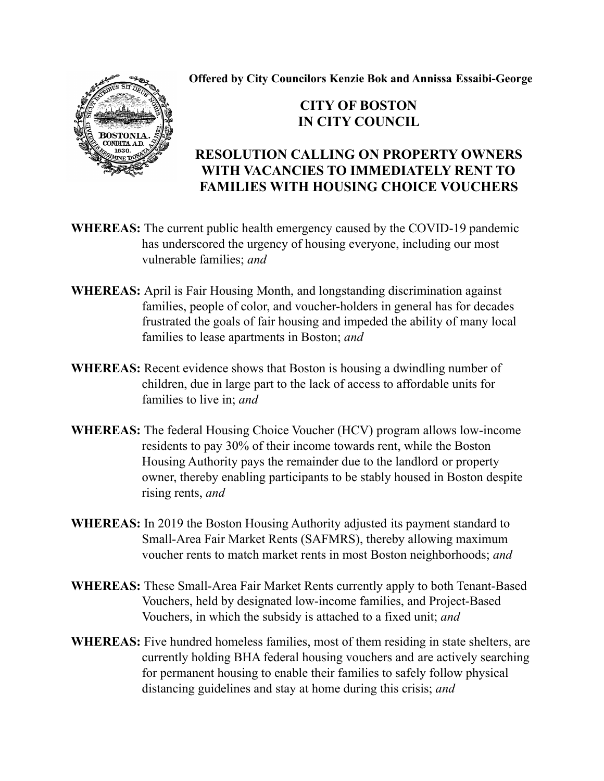**Offered by City Councilors Kenzie Bok and Annissa Essaibi-George**

## **CITY OF BOSTON IN CITY COUNCIL**

## **RESOLUTION CALLING ON PROPERTY OWNERS WITH VACANCIES TO IMMEDIATELY RENT TO FAMILIES WITH HOUSING CHOICE VOUCHERS**

- **WHEREAS:** The current public health emergency caused by the COVID-19 pandemic has underscored the urgency of housing everyone, including our most vulnerable families; *and*
- **WHEREAS:** April is Fair Housing Month, and longstanding discrimination against families, people of color, and voucher-holders in general has for decades frustrated the goals of fair housing and impeded the ability of many local families to lease apartments in Boston; *and*
- **WHEREAS:** Recent evidence shows that Boston is housing a dwindling number of children, due in large part to the lack of access to affordable units for families to live in; *and*
- **WHEREAS:** The federal Housing Choice Voucher (HCV) program allows low-income residents to pay 30% of their income towards rent, while the Boston Housing Authority pays the remainder due to the landlord or property owner, thereby enabling participants to be stably housed in Boston despite rising rents, *and*
- **WHEREAS:** In 2019 the Boston Housing Authority adjusted its payment standard to Small-Area Fair Market Rents (SAFMRS), thereby allowing maximum voucher rents to match market rents in most Boston neighborhoods; *and*
- **WHEREAS:** These Small-Area Fair Market Rents currently apply to both Tenant-Based Vouchers, held by designated low-income families, and Project-Based Vouchers, in which the subsidy is attached to a fixed unit; *and*
- **WHEREAS:** Five hundred homeless families, most of them residing in state shelters, are currently holding BHA federal housing vouchers and are actively searching for permanent housing to enable their families to safely follow physical distancing guidelines and stay at home during this crisis; *and*